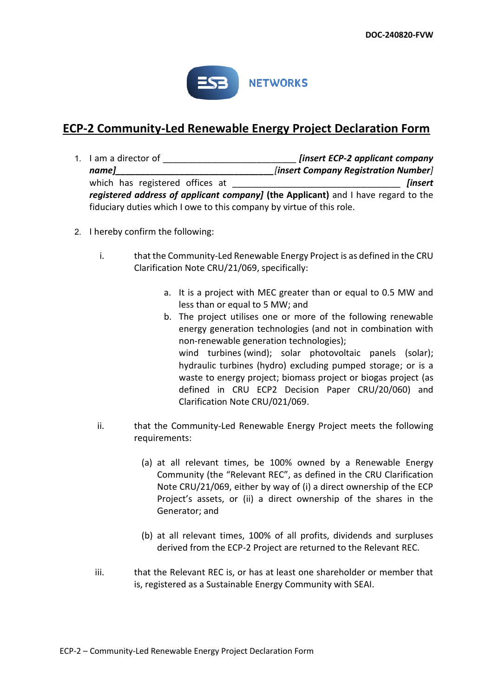

## **ECP-2 Community-Led Renewable Energy Project Declaration Form**

- 1. I am a director of \_\_\_\_\_\_\_\_\_\_\_\_\_\_\_\_\_\_\_\_\_\_\_\_\_\_\_ *[insert ECP-2 applicant company name]\_\_\_\_\_\_\_\_\_\_\_\_\_\_\_\_\_\_\_\_\_\_\_\_\_\_\_\_\_\_\_\_[insert Company Registration Number]* which has registered offices at **a summan example of the set of the set of the set of the set of the set of the set of the set of the set of the set of the set of the set of the set of the set of the set of the set of the** *registered address of applicant company]* **(the Applicant)** and I have regard to the fiduciary duties which I owe to this company by virtue of this role.
- 2. I hereby confirm the following:
	- i. that the Community-Led Renewable Energy Project is as defined in the CRU Clarification Note CRU/21/069, specifically:
		- a. It is a project with MEC greater than or equal to 0.5 MW and less than or equal to 5 MW; and
		- b. The project utilises one or more of the following renewable energy generation technologies (and not in combination with non-renewable generation technologies); wind turbines (wind); solar photovoltaic panels (solar); hydraulic turbines (hydro) excluding pumped storage; or is a waste to energy project; biomass project or biogas project (as defined in CRU ECP2 Decision Paper CRU/20/060) and Clarification Note CRU/021/069.
	- ii. that the Community-Led Renewable Energy Project meets the following requirements:
		- (a) at all relevant times, be 100% owned by a Renewable Energy Community (the "Relevant REC", as defined in the CRU Clarification Note CRU/21/069, either by way of (i) a direct ownership of the ECP Project's assets, or (ii) a direct ownership of the shares in the Generator; and
		- (b) at all relevant times, 100% of all profits, dividends and surpluses derived from the ECP-2 Project are returned to the Relevant REC.
	- iii. that the Relevant REC is, or has at least one shareholder or member that is, registered as a Sustainable Energy Community with SEAI.